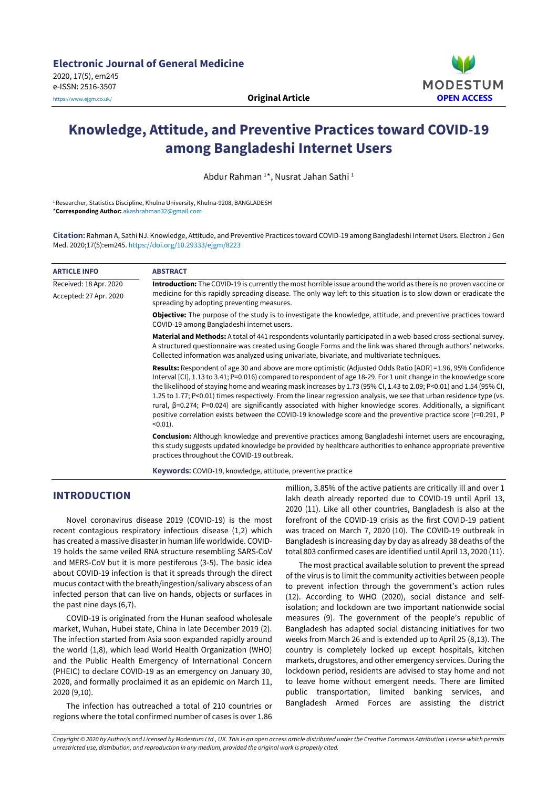

# **Knowledge, Attitude, and Preventive Practices toward COVID-19 among Bangladeshi Internet Users**

Abdur Rahman <sup>1\*</sup>, Nusrat Jahan Sathi <sup>1</sup>

<sup>1</sup>Researcher, Statistics Discipline, Khulna University, Khulna-9208, BANGLADESH \***Corresponding Author:** [akashrahman32@gmail.com](mailto:akashrahman32@gmail.com)

**Citation:** Rahman A, Sathi NJ. Knowledge, Attitude, and Preventive Practices toward COVID-19 among Bangladeshi Internet Users. Electron J Gen Med. 2020;17(5):em245. <https://doi.org/10.29333/ejgm/8223>

| <b>ARTICLE INFO</b>    | <b>ABSTRACT</b>                                                                                                                                                                                                                                                                                                                                                                                                                                                                                                                                                                                                                                                                                                                              |  |  |  |  |  |
|------------------------|----------------------------------------------------------------------------------------------------------------------------------------------------------------------------------------------------------------------------------------------------------------------------------------------------------------------------------------------------------------------------------------------------------------------------------------------------------------------------------------------------------------------------------------------------------------------------------------------------------------------------------------------------------------------------------------------------------------------------------------------|--|--|--|--|--|
| Received: 18 Apr. 2020 | Introduction: The COVID-19 is currently the most horrible issue around the world as there is no proven vaccine or                                                                                                                                                                                                                                                                                                                                                                                                                                                                                                                                                                                                                            |  |  |  |  |  |
| Accepted: 27 Apr. 2020 | medicine for this rapidly spreading disease. The only way left to this situation is to slow down or eradicate the<br>spreading by adopting preventing measures.                                                                                                                                                                                                                                                                                                                                                                                                                                                                                                                                                                              |  |  |  |  |  |
|                        | <b>Objective:</b> The purpose of the study is to investigate the knowledge, attitude, and preventive practices toward<br>COVID-19 among Bangladeshi internet users.                                                                                                                                                                                                                                                                                                                                                                                                                                                                                                                                                                          |  |  |  |  |  |
|                        | Material and Methods: A total of 441 respondents voluntarily participated in a web-based cross-sectional survey.<br>A structured questionnaire was created using Google Forms and the link was shared through authors' networks.<br>Collected information was analyzed using univariate, bivariate, and multivariate techniques.                                                                                                                                                                                                                                                                                                                                                                                                             |  |  |  |  |  |
|                        | Results: Respondent of age 30 and above are more optimistic (Adjusted Odds Ratio [AOR] = 1.96, 95% Confidence<br>Interval [CI], 1.13 to 3.41; P=0.016) compared to respondent of age 18-29. For 1 unit change in the knowledge score<br>the likelihood of staying home and wearing mask increases by 1.73 (95% CI, 1.43 to 2.09; P<0.01) and 1.54 (95% CI,<br>1.25 to 1.77; P<0.01) times respectively. From the linear regression analysis, we see that urban residence type (vs.<br>rural, $\beta$ =0.274; P=0.024) are significantly associated with higher knowledge scores. Additionally, a significant<br>positive correlation exists between the COVID-19 knowledge score and the preventive practice score (r=0.291, P<br>$(0.01)$ . |  |  |  |  |  |
|                        | Conclusion: Although knowledge and preventive practices among Bangladeshi internet users are encouraging,<br>this study suggests updated knowledge be provided by healthcare authorities to enhance appropriate preventive<br>practices throughout the COVID-19 outbreak.                                                                                                                                                                                                                                                                                                                                                                                                                                                                    |  |  |  |  |  |
|                        |                                                                                                                                                                                                                                                                                                                                                                                                                                                                                                                                                                                                                                                                                                                                              |  |  |  |  |  |

**Keywords:** COVID-19, knowledge, attitude, preventive practice

# **INTRODUCTION**

Novel coronavirus disease 2019 (COVID-19) is the most recent contagious respiratory infectious disease (1,2) which has created a massive disasterin human life worldwide. COVID-19 holds the same veiled RNA structure resembling SARS-CoV and MERS-CoV but it is more pestiferous (3-5). The basic idea about COVID-19 infection is that it spreads through the direct mucus contact with the breath/ingestion/salivary abscess of an infected person that can live on hands, objects or surfaces in the past nine days (6,7).

COVID-19 is originated from the Hunan seafood wholesale market, Wuhan, Hubei state, China in late December 2019 (2). The infection started from Asia soon expanded rapidly around the world (1,8), which lead World Health Organization (WHO) and the Public Health Emergency of International Concern (PHEIC) to declare COVID-19 as an emergency on January 30, 2020, and formally proclaimed it as an epidemic on March 11, 2020 (9,10).

The infection has outreached a total of 210 countries or regions where the total confirmed number of cases is over 1.86

million, 3.85% of the active patients are critically ill and over 1 lakh death already reported due to COVID-19 until April 13, 2020 (11). Like all other countries, Bangladesh is also at the forefront of the COVID-19 crisis as the first COVID-19 patient was traced on March 7, 2020 (10). The COVID-19 outbreak in Bangladesh is increasing day by day as already 38 deaths of the total 803 confirmed cases are identified until April 13, 2020 (11).

The most practical available solution to prevent the spread of the virus is to limit the community activities between people to prevent infection through the government's action rules (12). According to WHO (2020), social distance and selfisolation; and lockdown are two important nationwide social measures (9). The government of the people's republic of Bangladesh has adapted social distancing initiatives for two weeks from March 26 and is extended up to April 25 (8,13). The country is completely locked up except hospitals, kitchen markets, drugstores, and other emergency services. During the lockdown period, residents are advised to stay home and not to leave home without emergent needs. There are limited public transportation, limited banking services, and Bangladesh Armed Forces are assisting the district

Copyright © 2020 by Author/s and Licensed by Modestum Ltd., UK. This is an open access article distributed under the Creative Commons Attribution License which permits *unrestricted use, distribution, and reproduction in any medium, provided the original work is properly cited.*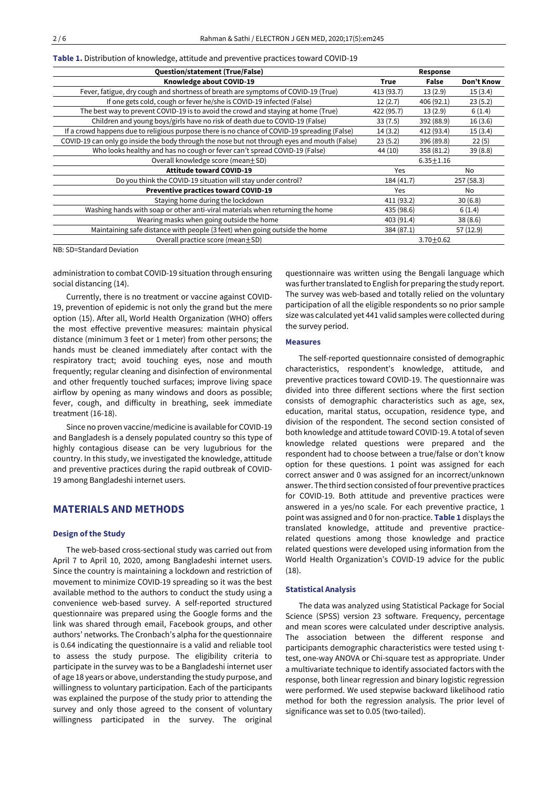| Table 1. Distribution of knowledge, attitude and preventive practices toward COVID-19 |  |  |  |  |
|---------------------------------------------------------------------------------------|--|--|--|--|
|---------------------------------------------------------------------------------------|--|--|--|--|

| Question/statement (True/False)                                                              |             | Response        |            |
|----------------------------------------------------------------------------------------------|-------------|-----------------|------------|
| Knowledge about COVID-19                                                                     | <b>True</b> | False           | Don't Know |
| Fever, fatigue, dry cough and shortness of breath are symptoms of COVID-19 (True)            | 413 (93.7)  | 13(2.9)         | 15(3.4)    |
| If one gets cold, cough or fever he/she is COVID-19 infected (False)                         | 12(2.7)     | 406 (92.1)      | 23(5.2)    |
| The best way to prevent COVID-19 is to avoid the crowd and staying at home (True)            | 422 (95.7)  | 13(2.9)         | 6(1.4)     |
| Children and young boys/girls have no risk of death due to COVID-19 (False)                  | 33(7.5)     | 392 (88.9)      | 16(3.6)    |
| If a crowd happens due to religious purpose there is no chance of COVID-19 spreading (False) | 14(3.2)     | 412 (93.4)      | 15(3.4)    |
| COVID-19 can only go inside the body through the nose but not through eyes and mouth (False) | 23(5.2)     | 396 (89.8)      | 22(5)      |
| Who looks healthy and has no cough or fever can't spread COVID-19 (False)                    | 44 (10)     | 358 (81.2)      | 39(8.8)    |
| Overall knowledge score (mean + SD)                                                          |             | $6.35 \pm 1.16$ |            |
| <b>Attitude toward COVID-19</b>                                                              | <b>Yes</b>  |                 | No         |
| Do you think the COVID-19 situation will stay under control?                                 | 184 (41.7)  |                 | 257(58.3)  |
| Preventive practices toward COVID-19                                                         | <b>Yes</b>  |                 | No         |
| Staying home during the lockdown                                                             | 411 (93.2)  |                 | 30(6.8)    |
| Washing hands with soap or other anti-viral materials when returning the home                |             | 435 (98.6)      | 6(1.4)     |
| Wearing masks when going outside the home                                                    | 403 (91.4)  |                 | 38(8.6)    |
| Maintaining safe distance with people (3 feet) when going outside the home                   | 384 (87.1)  |                 | 57 (12.9)  |
| Overall practice score (mean + SD)                                                           |             | $3.70 + 0.62$   |            |

NB: SD=Standard Deviation

administration to combat COVID-19 situation through ensuring social distancing (14).

Currently, there is no treatment or vaccine against COVID-19, prevention of epidemic is not only the grand but the mere option (15). After all, World Health Organization (WHO) offers the most effective preventive measures: maintain physical distance (minimum 3 feet or 1 meter) from other persons; the hands must be cleaned immediately after contact with the respiratory tract; avoid touching eyes, nose and mouth frequently; regular cleaning and disinfection of environmental and other frequently touched surfaces; improve living space airflow by opening as many windows and doors as possible; fever, cough, and difficulty in breathing, seek immediate treatment (16-18).

Since no proven vaccine/medicine is available for COVID-19 and Bangladesh is a densely populated country so this type of highly contagious disease can be very lugubrious for the country. In this study, we investigated the knowledge, attitude and preventive practices during the rapid outbreak of COVID-19 among Bangladeshi internet users.

# **MATERIALS AND METHODS**

#### **Design of the Study**

The web-based cross-sectional study was carried out from April 7 to April 10, 2020, among Bangladeshi internet users. Since the country is maintaining a lockdown and restriction of movement to minimize COVID-19 spreading so it was the best available method to the authors to conduct the study using a convenience web-based survey. A self-reported structured questionnaire was prepared using the Google forms and the link was shared through email, Facebook groups, and other authors' networks. The Cronbach's alpha for the questionnaire is 0.64 indicating the questionnaire is a valid and reliable tool to assess the study purpose. The eligibility criteria to participate in the survey was to be a Bangladeshi internet user of age 18 years or above, understanding the study purpose, and willingness to voluntary participation. Each of the participants was explained the purpose of the study prior to attending the survey and only those agreed to the consent of voluntary willingness participated in the survey. The original

questionnaire was written using the Bengali language which was further translated to English for preparing the study report. The survey was web-based and totally relied on the voluntary participation of all the eligible respondents so no prior sample size was calculated yet 441 valid samples were collected during the survey period.

## **Measures**

The self-reported questionnaire consisted of demographic characteristics, respondent's knowledge, attitude, and preventive practices toward COVID-19. The questionnaire was divided into three different sections where the first section consists of demographic characteristics such as age, sex, education, marital status, occupation, residence type, and division of the respondent. The second section consisted of both knowledge and attitude toward COVID-19. A total of seven knowledge related questions were prepared and the respondent had to choose between a true/false or don't know option for these questions. 1 point was assigned for each correct answer and 0 was assigned for an incorrect/unknown answer. The third section consisted of four preventive practices for COVID-19. Both attitude and preventive practices were answered in a yes/no scale. For each preventive practice, 1 point was assigned and 0 for non-practice. **Table 1** displays the translated knowledge, attitude and preventive practicerelated questions among those knowledge and practice related questions were developed using information from the World Health Organization's COVID-19 advice for the public (18).

#### **Statistical Analysis**

The data was analyzed using Statistical Package for Social Science (SPSS) version 23 software. Frequency, percentage and mean scores were calculated under descriptive analysis. The association between the different response and participants demographic characteristics were tested using ttest, one-way ANOVA or Chi-square test as appropriate. Under a multivariate technique to identify associated factors with the response, both linear regression and binary logistic regression were performed. We used stepwise backward likelihood ratio method for both the regression analysis. The prior level of significance was set to 0.05 (two-tailed).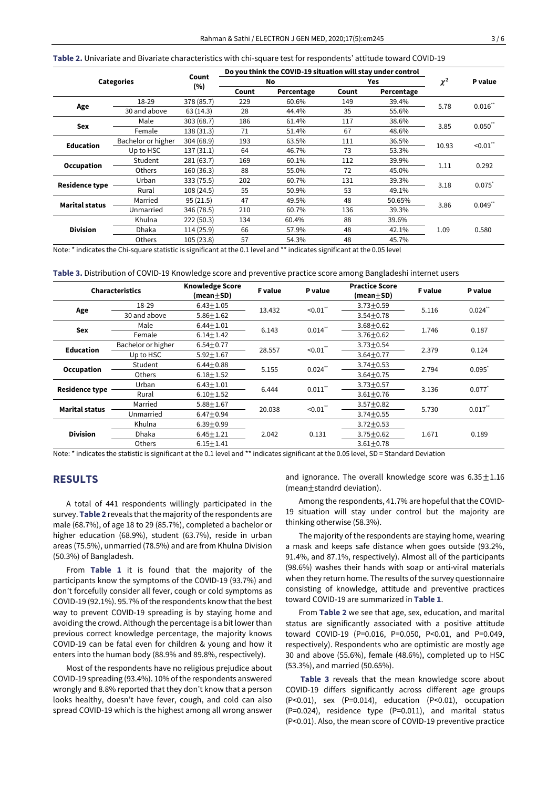**Table 2.** Univariate and Bivariate characteristics with chi-square test for respondents' attitude toward COVID-19

| <b>Categories</b>     |                    |            | Do you think the COVID-19 situation will stay under control |            |            |            |          |           |
|-----------------------|--------------------|------------|-------------------------------------------------------------|------------|------------|------------|----------|-----------|
|                       |                    | Count      | No                                                          |            | <b>Yes</b> |            | $\chi^2$ | P value   |
|                       |                    | (%)        | Count                                                       | Percentage | Count      | Percentage |          |           |
|                       | 18-29              | 378 (85.7) | 229                                                         | 60.6%      | 149        | 39.4%      |          | $0.016$ " |
| Age                   | 30 and above       | 63(14.3)   | 28                                                          | 44.4%      | 35         | 55.6%      | 5.78     |           |
| Sex                   | Male               | 303 (68.7) | 186                                                         | 61.4%      | 117        | 38.6%      | 3.85     | 0.050     |
|                       | Female             | 138 (31.3) | 71                                                          | 51.4%      | 67         | 48.6%      |          |           |
| <b>Education</b>      | Bachelor or higher | 304 (68.9) | 193                                                         | 63.5%      | 111        | 36.5%      | 10.93    | $-0.01$ " |
|                       | Up to HSC          | 137(31.1)  | 64                                                          | 46.7%      | 73         | 53.3%      |          |           |
| Occupation            | Student            | 281 (63.7) | 169                                                         | 60.1%      | 112        | 39.9%      | 1.11     | 0.292     |
|                       | Others             | 160 (36.3) | 88                                                          | 55.0%      | 72         | 45.0%      |          |           |
|                       | Urban              | 333 (75.5) | 202                                                         | 60.7%      | 131        | 39.3%      |          | 0.075     |
| <b>Residence type</b> | Rural              | 108 (24.5) | 55                                                          | 50.9%      | 53         | 49.1%      | 3.18     |           |
| <b>Marital status</b> | Married            | 95(21.5)   | 47                                                          | 49.5%      | 48         | 50.65%     | 3.86     | 0.049     |
|                       | Unmarried          | 346 (78.5) | 210                                                         | 60.7%      | 136        | 39.3%      |          |           |
| <b>Division</b>       | Khulna             | 222 (50.3) | 134                                                         | 60.4%      | 88         | 39.6%      |          |           |
|                       | <b>Dhaka</b>       | 114 (25.9) | 66                                                          | 57.9%      | 48         | 42.1%      | 1.09     | 0.580     |
|                       | Others             | 105(23.8)  | 57                                                          | 54.3%      | 48         | 45.7%      |          |           |

Note: \* indicates the Chi-square statistic is significant at the 0.1 level and \*\* indicates significant at the 0.05 level

**Table 3.** Distribution of COVID-19 Knowledge score and preventive practice score among Bangladeshi internet users

| Characteristics       |                    | <b>Knowledge Score</b><br>(mean $\pm$ SD) | <b>F</b> value | P value    | <b>Practice Score</b><br>(mean $\pm$ SD) | <b>F</b> value | P value               |
|-----------------------|--------------------|-------------------------------------------|----------------|------------|------------------------------------------|----------------|-----------------------|
|                       | 18-29              | $6.43 \pm 1.05$                           | 13.432         | $< 0.01$ " | $3.73 \pm 0.59$                          | 5.116          | $0.024$ <sup>**</sup> |
| Age                   | 30 and above       | $5.86 \pm 1.62$                           |                |            | $3.54 + 0.78$                            |                |                       |
| <b>Sex</b>            | Male               | $6.44 \pm 1.01$                           | 6.143          | $0.014$ "  | $3.68 + 0.62$                            | 1.746          | 0.187                 |
|                       | Female             | $6.14 \pm 1.42$                           |                |            | $3.76 + 0.62$                            |                |                       |
| <b>Education</b>      | Bachelor or higher | $6.54 \pm 0.77$                           | 28.557         | $-0.01$ ** | $3.73 \pm 0.54$                          | 2.379          | 0.124                 |
|                       | Up to HSC          | $5.92 \pm 1.67$                           |                |            | $3.64 + 0.77$                            |                |                       |
| Occupation            | Student            | $6.44 \pm 0.88$                           | 5.155          | $0.024$ ** | $3.74 \pm 0.53$                          | 2.794          | $0.095$ <sup>*</sup>  |
|                       | Others             | $6.18 + 1.52$                             |                |            | $3.64 + 0.75$                            |                |                       |
| <b>Residence type</b> | Urban              | $6.43 \pm 1.01$                           | 6.444          | $0.011$ "  | $3.73 + 0.57$                            | 3.136          | 0.077                 |
|                       | Rural              | $6.10 + 1.52$                             |                |            | $3.61 + 0.76$                            |                |                       |
|                       | Married            | $5.88 \pm 1.67$                           | 20.038         | $-0.01$ "  | $3.57 \pm 0.82$                          |                | $0.017$ "             |
| <b>Marital status</b> | Unmarried          | $6.47 + 0.94$                             |                |            | $3.74 \pm 0.55$                          | 5.730          |                       |
| <b>Division</b>       | Khulna             | $6.39 + 0.99$                             |                |            | $3.72 \pm 0.53$                          |                |                       |
|                       | <b>Dhaka</b>       | $6.45 \pm 1.21$                           | 2.042          | 0.131      | $3.75 \pm 0.62$                          | 1.671          | 0.189                 |
|                       | <b>Others</b>      | $6.15 \pm 1.41$                           |                |            | $3.61 + 0.78$                            |                |                       |

Note: \* indicates the statistic is significant at the 0.1 level and \*\* indicates significant at the 0.05 level, SD = Standard Deviation

# **RESULTS**

A total of 441 respondents willingly participated in the survey. Table 2 reveals that the majority of the respondents are male (68.7%), of age 18 to 29 (85.7%), completed a bachelor or higher education (68.9%), student (63.7%), reside in urban areas (75.5%), unmarried (78.5%) and are from Khulna Division (50.3%) of Bangladesh.

From **Table 1** it is found that the majority of the participants know the symptoms of the COVID-19 (93.7%) and don't forcefully consider all fever, cough or cold symptoms as COVID-19 (92.1%). 95.7% of the respondents know that the best way to prevent COVID-19 spreading is by staying home and avoiding the crowd. Although the percentage is a bit lower than previous correct knowledge percentage, the majority knows COVID-19 can be fatal even for children & young and how it enters into the human body (88.9% and 89.8%, respectively).

Most of the respondents have no religious prejudice about COVID-19 spreading (93.4%). 10% of the respondents answered wrongly and 8.8% reported that they don't know that a person looks healthy, doesn't have fever, cough, and cold can also spread COVID-19 which is the highest among all wrong answer and ignorance. The overall knowledge score was  $6.35 \pm 1.16$ (mean±standrd deviation).

Among the respondents, 41.7% are hopeful that the COVID-19 situation will stay under control but the majority are thinking otherwise (58.3%).

The majority of the respondents are staying home, wearing a mask and keeps safe distance when goes outside (93.2%, 91.4%, and 87.1%, respectively). Almost all of the participants (98.6%) washes their hands with soap or anti-viral materials when they return home. The results of the survey questionnaire consisting of knowledge, attitude and preventive practices toward COVID-19 are summarized in **Table 1**.

From **Table 2** we see that age, sex, education, and marital status are significantly associated with a positive attitude toward COVID-19 (P=0.016, P=0.050, P<0.01, and P=0.049, respectively). Respondents who are optimistic are mostly age 30 and above (55.6%), female (48.6%), completed up to HSC (53.3%), and married (50.65%).

**Table 3** reveals that the mean knowledge score about COVID-19 differs significantly across different age groups (P<0.01), sex (P=0.014), education (P<0.01), occupation (P=0.024), residence type (P=0.011), and marital status (P<0.01). Also, the mean score of COVID-19 preventive practice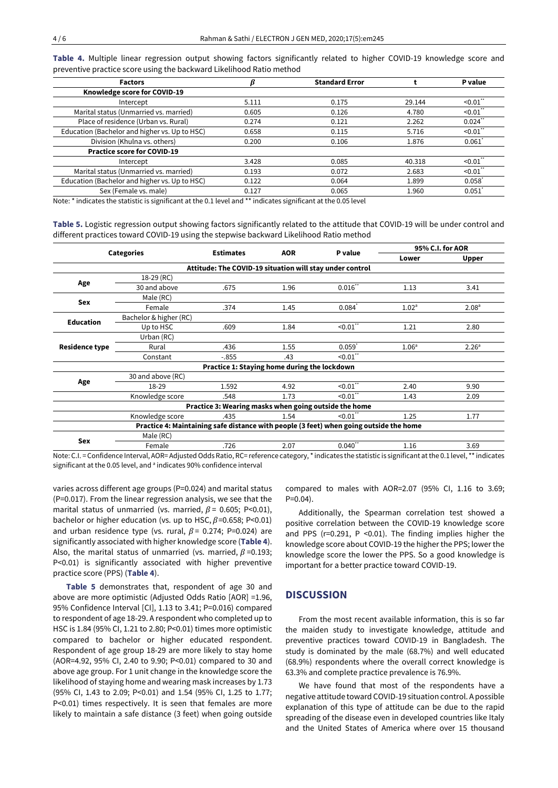| <b>Factors</b>                                |       | <b>Standard Error</b> |        | P value              |
|-----------------------------------------------|-------|-----------------------|--------|----------------------|
| Knowledge score for COVID-19                  |       |                       |        |                      |
| Intercept                                     | 5.111 | 0.175                 | 29.144 | $< 0.01$ "           |
| Marital status (Unmarried vs. married)        | 0.605 | 0.126                 | 4.780  | $< 0.01$ "           |
| Place of residence (Urban vs. Rural)          | 0.274 | 0.121                 | 2.262  | $0.024$ "            |
| Education (Bachelor and higher vs. Up to HSC) | 0.658 | 0.115                 | 5.716  | $< 0.01$ "           |
| Division (Khulna vs. others)                  | 0.200 | 0.106                 | 1.876  | 0.061                |
| <b>Practice score for COVID-19</b>            |       |                       |        |                      |
| Intercept                                     | 3.428 | 0.085                 | 40.318 | $< 0.01$ "           |
| Marital status (Unmarried vs. married)        | 0.193 | 0.072                 | 2.683  | $< 0.01$ "           |
| Education (Bachelor and higher vs. Up to HSC) | 0.122 | 0.064                 | 1.899  | $0.058$ <sup>*</sup> |
| Sex (Female vs. male)                         | 0.127 | 0.065                 | 1.960  | 0.051                |

**Table 4.** Multiple linear regression output showing factors significantly related to higher COVID-19 knowledge score and preventive practice score using the backward Likelihood Ratio method

Note: \* indicates the statistic is significant at the 0.1 level and \*\* indicates significant at the 0.05 level

**Table 5.** Logistic regression output showing factors significantly related to the attitude that COVID-19 will be under control and different practices toward COVID-19 using the stepwise backward Likelihood Ratio method

|                       |                                                                                        | <b>Estimates</b>                                      |            |                           |                   | 95% C.I. for AOR  |  |  |  |
|-----------------------|----------------------------------------------------------------------------------------|-------------------------------------------------------|------------|---------------------------|-------------------|-------------------|--|--|--|
| <b>Categories</b>     |                                                                                        |                                                       | <b>AOR</b> | P value                   | Lower             | Upper             |  |  |  |
|                       | Attitude: The COVID-19 situation will stay under control                               |                                                       |            |                           |                   |                   |  |  |  |
|                       | 18-29 (RC)                                                                             |                                                       |            |                           |                   |                   |  |  |  |
| Age                   | 30 and above                                                                           | .675                                                  | 1.96       | $0.016$ "                 | 1.13              | 3.41              |  |  |  |
| Sex                   | Male (RC)                                                                              |                                                       |            |                           |                   |                   |  |  |  |
|                       | Female                                                                                 | .374                                                  | 1.45       | $0.084$ <sup>*</sup>      | 1.02 <sup>a</sup> | 2.08 <sup>a</sup> |  |  |  |
| <b>Education</b>      | Bachelor & higher (RC)                                                                 |                                                       |            |                           |                   |                   |  |  |  |
|                       | Up to HSC                                                                              | .609                                                  | 1.84       | $< 0.01$ "                | 1.21              | 2.80              |  |  |  |
|                       | Urban (RC)                                                                             |                                                       |            |                           |                   |                   |  |  |  |
| <b>Residence type</b> | Rural                                                                                  | .436                                                  | 1.55       | $0.059$ <sup>*</sup>      | 1.06 <sup>a</sup> | 2.26 <sup>a</sup> |  |  |  |
|                       | Constant                                                                               | $-.855$                                               | .43        | $\leq 0.01$ <sup>**</sup> |                   |                   |  |  |  |
|                       |                                                                                        | Practice 1: Staying home during the lockdown          |            |                           |                   |                   |  |  |  |
|                       | 30 and above (RC)                                                                      |                                                       |            |                           |                   |                   |  |  |  |
| Age                   | 18-29                                                                                  | 1.592                                                 | 4.92       | $< 0.01$ "                | 2.40              | 9.90              |  |  |  |
|                       | Knowledge score                                                                        | .548                                                  | 1.73       | $\leq 0.01$               | 1.43              | 2.09              |  |  |  |
|                       |                                                                                        | Practice 3: Wearing masks when going outside the home |            |                           |                   |                   |  |  |  |
|                       | Knowledge score                                                                        | .435                                                  | 1.54       | $-0.01$ "                 | 1.25              | 1.77              |  |  |  |
|                       | Practice 4: Maintaining safe distance with people (3 feet) when going outside the home |                                                       |            |                           |                   |                   |  |  |  |
|                       | Male (RC)                                                                              |                                                       |            |                           |                   |                   |  |  |  |
| Sex                   | Female                                                                                 | .726                                                  | 2.07       | $0.040$ <sup>**</sup>     | 1.16              | 3.69              |  |  |  |

Note: C.I. = Confidence Interval, AOR= Adjusted Odds Ratio, RC= reference category, \* indicates the statistic is significant at the 0.1 level, \*\* indicates significant at the 0.05 level, and <sup>a</sup> indicates 90% confidence interval

varies across different age groups (P=0.024) and marital status (P=0.017). From the linear regression analysis, we see that the marital status of unmarried (vs. married,  $\beta$  = 0.605; P<0.01), bachelor or higher education (vs. up to HSC,  $\beta$ =0.658; P<0.01) and urban residence type (vs. rural,  $\beta$  = 0.274; P=0.024) are significantly associated with higher knowledge score (**Table 4**). Also, the marital status of unmarried (vs. married,  $\beta$ =0.193; P<0.01) is significantly associated with higher preventive practice score (PPS) (**Table 4**).

**Table 5** demonstrates that, respondent of age 30 and above are more optimistic (Adjusted Odds Ratio [AOR] =1.96, 95% Confidence Interval [CI], 1.13 to 3.41; P=0.016) compared to respondent of age 18-29. A respondent who completed up to HSC is 1.84 (95% CI, 1.21 to 2.80; P<0.01) times more optimistic compared to bachelor or higher educated respondent. Respondent of age group 18-29 are more likely to stay home (AOR=4.92, 95% CI, 2.40 to 9.90; P<0.01) compared to 30 and above age group. For 1 unit change in the knowledge score the likelihood of staying home and wearing mask increases by 1.73 (95% CI, 1.43 to 2.09; P<0.01) and 1.54 (95% CI, 1.25 to 1.77; P<0.01) times respectively. It is seen that females are more likely to maintain a safe distance (3 feet) when going outside

compared to males with AOR=2.07 (95% CI, 1.16 to 3.69;  $P=0.04$ 

Additionally, the Spearman correlation test showed a positive correlation between the COVID-19 knowledge score and PPS (r=0.291, P <0.01). The finding implies higher the knowledge score about COVID-19 the higher the PPS; lower the knowledge score the lower the PPS. So a good knowledge is important for a better practice toward COVID-19.

## **DISCUSSION**

From the most recent available information, this is so far the maiden study to investigate knowledge, attitude and preventive practices toward COVID-19 in Bangladesh. The study is dominated by the male (68.7%) and well educated (68.9%) respondents where the overall correct knowledge is 63.3% and complete practice prevalence is 76.9%.

We have found that most of the respondents have a negative attitude toward COVID-19 situation control. A possible explanation of this type of attitude can be due to the rapid spreading of the disease even in developed countries like Italy and the United States of America where over 15 thousand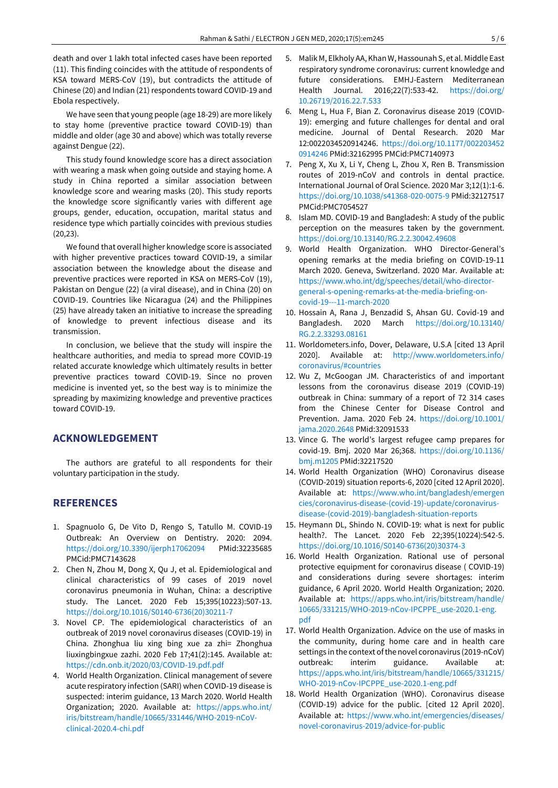death and over 1 lakh total infected cases have been reported (11). This finding coincides with the attitude of respondents of KSA toward MERS-CoV (19), but contradicts the attitude of Chinese (20) and Indian (21) respondents toward COVID-19 and Ebola respectively.

We have seen that young people (age 18-29) are more likely to stay home (preventive practice toward COVID-19) than middle and older (age 30 and above) which was totally reverse against Dengue (22).

This study found knowledge score has a direct association with wearing a mask when going outside and staying home. A study in China reported a similar association between knowledge score and wearing masks (20). This study reports the knowledge score significantly varies with different age groups, gender, education, occupation, marital status and residence type which partially coincides with previous studies (20,23).

We found that overall higher knowledge score is associated with higher preventive practices toward COVID-19, a similar association between the knowledge about the disease and preventive practices were reported in KSA on MERS-CoV (19), Pakistan on Dengue (22) (a viral disease), and in China (20) on COVID-19. Countries like Nicaragua (24) and the Philippines (25) have already taken an initiative to increase the spreading of knowledge to prevent infectious disease and its transmission.

In conclusion, we believe that the study will inspire the healthcare authorities, and media to spread more COVID-19 related accurate knowledge which ultimately results in better preventive practices toward COVID-19. Since no proven medicine is invented yet, so the best way is to minimize the spreading by maximizing knowledge and preventive practices toward COVID-19.

## **ACKNOWLEDGEMENT**

The authors are grateful to all respondents for their voluntary participation in the study.

### **REFERENCES**

- 1. Spagnuolo G, De Vito D, Rengo S, Tatullo M. COVID-19 Outbreak: An Overview on Dentistry. 2020: 2094. <https://doi.org/10.3390/ijerph17062094> PMid:32235685 PMCid:PMC7143628
- 2. Chen N, Zhou M, Dong X, Qu J, et al. Epidemiological and clinical characteristics of 99 cases of 2019 novel coronavirus pneumonia in Wuhan, China: a descriptive study. The Lancet. 2020 Feb 15;395(10223):507-13. [https://doi.org/10.1016/S0140-6736\(20\)30211-7](https://doi.org/10.1016/S0140-6736(20)30211-7)
- 3. Novel CP. The epidemiological characteristics of an outbreak of 2019 novel coronavirus diseases (COVID-19) in China. Zhonghua liu xing bing xue za zhi= Zhonghua liuxingbingxue zazhi. 2020 Feb 17;41(2):145. Available at: <https://cdn.onb.it/2020/03/COVID-19.pdf.pdf>
- 4. World Health Organization. Clinical management of severe acute respiratory infection (SARI) when COVID-19 disease is suspected: interim guidance, 13 March 2020. World Health Organization; 2020. Available at: [https://apps.who.int/](https://apps.who.int/iris/bitstream/handle/10665/331446/WHO-2019-nCoV-clinical-2020.4-chi.pdf) [iris/bitstream/handle/10665/331446/WHO-2019-nCoV](https://apps.who.int/iris/bitstream/handle/10665/331446/WHO-2019-nCoV-clinical-2020.4-chi.pdf)[clinical-2020.4-chi.pdf](https://apps.who.int/iris/bitstream/handle/10665/331446/WHO-2019-nCoV-clinical-2020.4-chi.pdf)
- 5. Malik M, Elkholy AA, KhanW,Hassounah S, et al. Middle East respiratory syndrome coronavirus: current knowledge and future considerations. EMHJ-Eastern Mediterranean Health Journal. 2016;22(7):533-42. [https://doi.org/](https://doi.org/10.26719/2016.22.7.533) [10.26719/2016.22.7.533](https://doi.org/10.26719/2016.22.7.533)
- 6. Meng L, Hua F, Bian Z. Coronavirus disease 2019 (COVID-19): emerging and future challenges for dental and oral medicine. Journal of Dental Research. 2020 Mar 12:0022034520914246. [https://doi.org/10.1177/002203452](https://doi.org/10.1177/0022034520914246) [0914246](https://doi.org/10.1177/0022034520914246) PMid:32162995 PMCid:PMC7140973
- 7. Peng X, Xu X, Li Y, Cheng L, Zhou X, Ren B. Transmission routes of 2019-nCoV and controls in dental practice. International Journal of Oral Science. 2020 Mar 3;12(1):1-6. <https://doi.org/10.1038/s41368-020-0075-9> PMid:32127517 PMCid:PMC7054527
- 8. Islam MD. COVID-19 and Bangladesh: A study of the public perception on the measures taken by the government. <https://doi.org/10.13140/RG.2.2.30042.49608>
- 9. World Health Organization. WHO Director-General's opening remarks at the media briefing on COVID-19-11 March 2020. Geneva, Switzerland. 2020 Mar. Available at: [https://www.who.int/dg/speeches/detail/who-director](https://www.who.int/dg/speeches/detail/who-director-general-s-opening-remarks-at-the-media-briefing-on-covid-19---11-march-2020)[general-s-opening-remarks-at-the-media-briefing-on](https://www.who.int/dg/speeches/detail/who-director-general-s-opening-remarks-at-the-media-briefing-on-covid-19---11-march-2020)[covid-19---11-march-2020](https://www.who.int/dg/speeches/detail/who-director-general-s-opening-remarks-at-the-media-briefing-on-covid-19---11-march-2020)
- 10. Hossain A, Rana J, Benzadid S, Ahsan GU. Covid-19 and Bangladesh. 2020 March [https://doi.org/10.13140/](https://doi.org/10.13140/RG.2.2.33293.08161) [RG.2.2.33293.08161](https://doi.org/10.13140/RG.2.2.33293.08161)
- 11. Worldometers.info, Dover, Delaware, U.S.A [cited 13 April 2020]. Available at: [http://www.worldometers.info/](http://www.worldometers.info/coronavirus/#countries) [coronavirus/#countries](http://www.worldometers.info/coronavirus/#countries)
- 12. Wu Z, McGoogan JM. Characteristics of and important lessons from the coronavirus disease 2019 (COVID-19) outbreak in China: summary of a report of 72 314 cases from the Chinese Center for Disease Control and Prevention. Jama. 2020 Feb 24. [https://doi.org/10.1001/](https://doi.org/10.1001/jama.2020.2648) [jama.2020.2648](https://doi.org/10.1001/jama.2020.2648) PMid:32091533
- 13. Vince G. The world's largest refugee camp prepares for covid-19. Bmj. 2020 Mar 26;368. [https://doi.org/10.1136/](https://doi.org/10.1136/bmj.m1205) [bmj.m1205](https://doi.org/10.1136/bmj.m1205) PMid:32217520
- 14. World Health Organization (WHO) Coronavirus disease (COVID-2019) situation reports-6, 2020 [cited 12 April 2020]. Available at: [https://www.who.int/bangladesh/emergen](https://www.who.int/bangladesh/emergencies/coronavirus-disease-(covid-19)-update/coronavirus-disease-(covid-2019)-bangladesh-situation-reports) [cies/coronavirus-disease-\(covid-19\)-update/coronavirus](https://www.who.int/bangladesh/emergencies/coronavirus-disease-(covid-19)-update/coronavirus-disease-(covid-2019)-bangladesh-situation-reports)[disease-\(covid-2019\)-bangladesh-situation-reports](https://www.who.int/bangladesh/emergencies/coronavirus-disease-(covid-19)-update/coronavirus-disease-(covid-2019)-bangladesh-situation-reports)
- 15. Heymann DL, Shindo N. COVID-19: what is next for public health?. The Lancet. 2020 Feb 22;395(10224):542-5. [https://doi.org/10.1016/S0140-6736\(20\)30374-3](https://doi.org/10.1016/S0140-6736(20)30374-3)
- 16. World Health Organization. Rational use of personal protective equipment for coronavirus disease ( COVID-19) and considerations during severe shortages: interim guidance, 6 April 2020. World Health Organization; 2020. Available at: [https://apps.who.int/iris/bitstream/handle/](https://apps.who.int/iris/bitstream/handle/10665/331215/WHO-2019-nCov-IPCPPE_use-2020.1-eng.pdf) [10665/331215/WHO-2019-nCov-IPCPPE\\_use-2020.1-eng.](https://apps.who.int/iris/bitstream/handle/10665/331215/WHO-2019-nCov-IPCPPE_use-2020.1-eng.pdf) [pdf](https://apps.who.int/iris/bitstream/handle/10665/331215/WHO-2019-nCov-IPCPPE_use-2020.1-eng.pdf)
- 17. World Health Organization. Advice on the use of masks in the community, during home care and in health care settings in the context of the novel coronavirus (2019-nCoV) outbreak: interim guidance. Available at: [https://apps.who.int/iris/bitstream/handle/10665/331215/](https://apps.who.int/iris/bitstream/handle/10665/331215/WHO-2019-nCov-IPCPPE_use-2020.1-eng.pdf) [WHO-2019-nCov-IPCPPE\\_use-2020.1-eng.pdf](https://apps.who.int/iris/bitstream/handle/10665/331215/WHO-2019-nCov-IPCPPE_use-2020.1-eng.pdf)
- 18. World Health Organization (WHO). Coronavirus disease (COVID-19) advice for the public. [cited 12 April 2020]. Available at: [https://www.who.int/emergencies/diseases/](https://www.who.int/emergencies/diseases/novel-coronavirus-2019/advice-for-public) [novel-coronavirus-2019/advice-for-public](https://www.who.int/emergencies/diseases/novel-coronavirus-2019/advice-for-public)